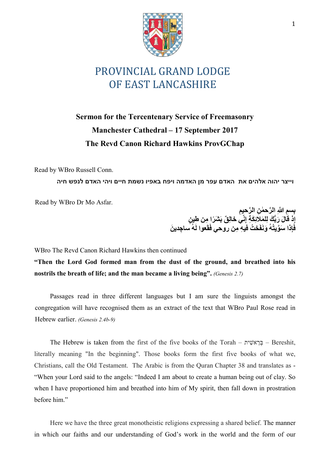

## PROVINCIAL GRAND LODGE OF EAST LANCASHIRE

## Sermon for the Tercentenary Service of Freemasonry Manchester Cathedral – 17 September 2017 The Revd Canon Richard Hawkins ProvGChap

Read by WBro Russell Conn.

וייצר יהוה אלהים את האדם עפר מן האדמה ויפח באפיו נשמת חיים ויהי האדם לנפש חיה

Read by WBro Dr Mo Asfar.

بِسِمِ اللَّهِ الرَّحطٰنِ الرَّحيِمِ إِذْ قَالَ رَبُّكَ لِلْمَلائِكَةِ إِنَّى خَالِقٌ بَشْرَا ِمِن طِينٍ فَإِذا سَوَّيتُهُ وَنَفَحْتُ فيهِ مِن روحي فَقَعوا لَهُ ساجِدينَ

WBro The Revd Canon Richard Hawkins then continued

"Then the Lord God formed man from the dust of the ground, and breathed into his nostrils the breath of life; and the man became a living being". (Genesis 2.7)

Passages read in three different languages but I am sure the linguists amongst the congregation will have recognised them as an extract of the text that WBro Paul Rose read in Hebrew earlier. (Genesis 2.4b-9)

The Hebrew is taken from the first of the five books of the Torah –  $\epsilon$ בְּרָאשִׁית – Bereshit, literally meaning "In the beginning". Those books form the first five books of what we, Christians, call the Old Testament. The Arabic is from the Quran Chapter 38 and translates as - "When your Lord said to the angels: "Indeed I am about to create a human being out of clay. So when I have proportioned him and breathed into him of My spirit, then fall down in prostration before him."

Here we have the three great monotheistic religions expressing a shared belief. The manner in which our faiths and our understanding of God's work in the world and the form of our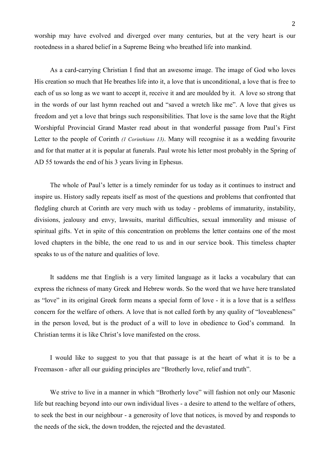worship may have evolved and diverged over many centuries, but at the very heart is our rootedness in a shared belief in a Supreme Being who breathed life into mankind.

As a card-carrying Christian I find that an awesome image. The image of God who loves His creation so much that He breathes life into it, a love that is unconditional, a love that is free to each of us so long as we want to accept it, receive it and are moulded by it. A love so strong that in the words of our last hymn reached out and "saved a wretch like me". A love that gives us freedom and yet a love that brings such responsibilities. That love is the same love that the Right Worshipful Provincial Grand Master read about in that wonderful passage from Paul's First Letter to the people of Corinth (1 Corinthians 13). Many will recognise it as a wedding favourite and for that matter at it is popular at funerals. Paul wrote his letter most probably in the Spring of AD 55 towards the end of his 3 years living in Ephesus.

The whole of Paul's letter is a timely reminder for us today as it continues to instruct and inspire us. History sadly repeats itself as most of the questions and problems that confronted that fledgling church at Corinth are very much with us today - problems of immaturity, instability, divisions, jealousy and envy, lawsuits, marital difficulties, sexual immorality and misuse of spiritual gifts. Yet in spite of this concentration on problems the letter contains one of the most loved chapters in the bible, the one read to us and in our service book. This timeless chapter speaks to us of the nature and qualities of love.

It saddens me that English is a very limited language as it lacks a vocabulary that can express the richness of many Greek and Hebrew words. So the word that we have here translated as "love" in its original Greek form means a special form of love - it is a love that is a selfless concern for the welfare of others. A love that is not called forth by any quality of "loveableness" in the person loved, but is the product of a will to love in obedience to God's command. In Christian terms it is like Christ's love manifested on the cross.

I would like to suggest to you that that passage is at the heart of what it is to be a Freemason - after all our guiding principles are "Brotherly love, relief and truth".

We strive to live in a manner in which "Brotherly love" will fashion not only our Masonic life but reaching beyond into our own individual lives - a desire to attend to the welfare of others, to seek the best in our neighbour - a generosity of love that notices, is moved by and responds to the needs of the sick, the down trodden, the rejected and the devastated.